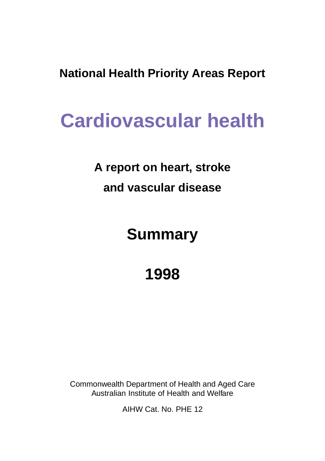**National Health Priority Areas Report**

# **Cardiovascular health**

# **A report on heart, stroke and vascular disease**

# **Summary**

# **1998**

Commonwealth Department of Health and Aged Care Australian Institute of Health and Welfare

AIHW Cat. No. PHE 12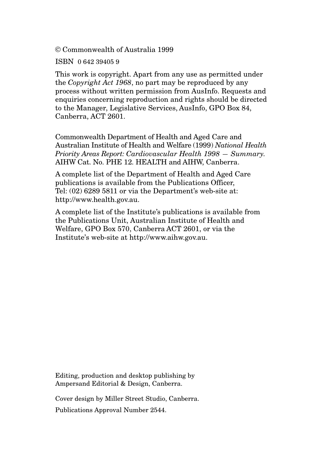© Commonwealth of Australia 1999

ISBN 0 642 39405 9

This work is copyright. Apart from any use as permitted under the *Copyright Act 1968*, no part may be reproduced by any process without written permission from AusInfo. Requests and enquiries concerning reproduction and rights should be directed to the Manager, Legislative Services, AusInfo, GPO Box 84, Canberra, ACT 2601.

Commonwealth Department of Health and Aged Care and Australian Institute of Health and Welfare (1999) *National Health Priority Areas Report: Cardiovascular Health 1998 — Summary.* AIHW Cat. No. PHE 12. HEALTH and AIHW, Canberra.

A complete list of the Department of Health and Aged Care publications is available from the Publications Officer, Tel: (02) 6289 5811 or via the Department's web-site at: http://www.health.gov.au.

A complete list of the Institute's publications is available from the Publications Unit, Australian Institute of Health and Welfare, GPO Box 570, Canberra ACT 2601, or via the Institute's web-site at http://www.aihw.gov.au.

Editing, production and desktop publishing by Ampersand Editorial & Design, Canberra.

Cover design by Miller Street Studio, Canberra.

Publications Approval Number 2544.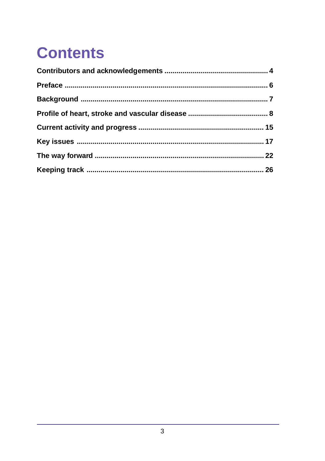# **Contents**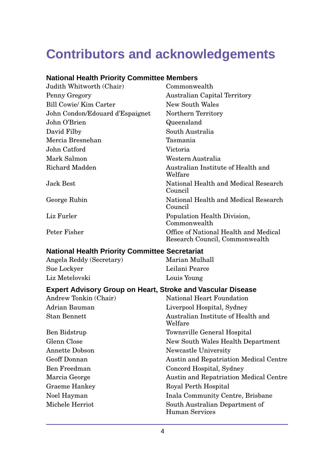# <span id="page-3-0"></span>**Contributors and acknowledgements**

#### **National Health Priority Committee Members**

| Judith Whitworth (Chair)        | Commonwealth                                                            |
|---------------------------------|-------------------------------------------------------------------------|
| Penny Gregory                   | <b>Australian Capital Territory</b>                                     |
| Bill Cowie/ Kim Carter          | New South Wales                                                         |
| John Condon/Edouard d'Espaignet | Northern Territory                                                      |
| John O'Brien                    | Queensland                                                              |
| David Filby                     | South Australia                                                         |
| Mercia Bresnehan                | Tasmania                                                                |
| John Catford                    | Victoria                                                                |
| Mark Salmon                     | Western Australia                                                       |
| Richard Madden                  | Australian Institute of Health and<br>Welfare                           |
| Jack Best                       | National Health and Medical Research<br>Council                         |
| George Rubin                    | National Health and Medical Research<br>Council                         |
| Liz Furler                      | Population Health Division,<br>Commonwealth                             |
| Peter Fisher                    | Office of National Health and Medical<br>Research Council, Commonwealth |

#### **National Health Priority Committee Secretariat**

Angela Reddy (Secretary) Marian Mulhall Sue Lockyer Leilani Pearce Liz Metelovski Louis Young

#### **Expert Advisory Group on Heart, Stroke and Vascular Disease**

| Andrew Tonkin (Chair) | <b>National Heart Foundation</b>                 |
|-----------------------|--------------------------------------------------|
| Adrian Bauman         | Liverpool Hospital, Sydney                       |
| <b>Stan Bennett</b>   | Australian Institute of Health and<br>Welfare    |
| Ben Bidstrup          | Townsville General Hospital                      |
| Glenn Close           | New South Wales Health Department                |
| Annette Dobson        | Newcastle University                             |
| Geoff Donnan          | Austin and Repatriation Medical Centre           |
| Ben Freedman          | Concord Hospital, Sydney                         |
| Marcia George         | Austin and Repatriation Medical Centre           |
| Graeme Hankey         | Royal Perth Hospital                             |
| Noel Hayman           | Inala Community Centre, Brisbane                 |
| Michele Herriot       | South Australian Department of<br>Human Services |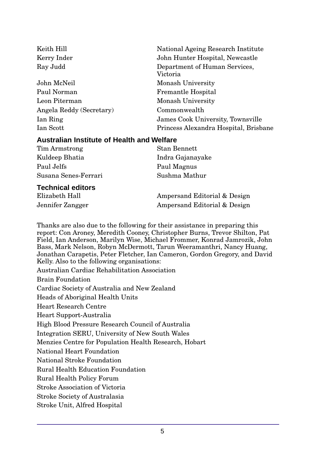| Keith Hill               | National Ageing Research Institute        |
|--------------------------|-------------------------------------------|
| Kerry Inder              | John Hunter Hospital, Newcastle           |
| Ray Judd                 | Department of Human Services,<br>Victoria |
| John McNeil              | Monash University                         |
| Paul Norman              | <b>Fremantle Hospital</b>                 |
| Leon Piterman            | Monash University                         |
| Angela Reddy (Secretary) | Commonwealth                              |
| Ian Ring                 | James Cook University, Townsville         |
| Ian Scott                | Princess Alexandra Hospital, Brisbane     |

#### **Australian Institute of Health and Welfare**

| Tim Armstrong        | Stan Bennett     |
|----------------------|------------------|
| Kuldeep Bhatia       | Indra Gajanayake |
| Paul Jelfs           | Paul Magnus      |
| Susana Senes-Ferrari | Sushma Mathur    |

#### **Technical editors**

Elizabeth Hall Ampersand Editorial & Design Jennifer Zangger Ampersand Editorial & Design

Thanks are also due to the following for their assistance in preparing this report: Con Aroney, Meredith Cooney, Christopher Burns, Trevor Shilton, Pat Field, Ian Anderson, Marilyn Wise, Michael Frommer, Konrad Jamrozik, John Bass, Mark Nelson, Robyn McDermott, Tarun Weeramanthri, Nancy Huang, Jonathan Carapetis, Peter Fletcher, Ian Cameron, Gordon Gregory, and David Kelly. Also to the following organisations: Australian Cardiac Rehabilitation Association Brain Foundation Cardiac Society of Australia and New Zealand Heads of Aboriginal Health Units Heart Research Centre Heart Support-Australia High Blood Pressure Research Council of Australia Integration SERU, University of New South Wales Menzies Centre for Population Health Research, Hobart National Heart Foundation National Stroke Foundation Rural Health Education Foundation Rural Health Policy Forum Stroke Association of Victoria Stroke Society of Australasia Stroke Unit, Alfred Hospital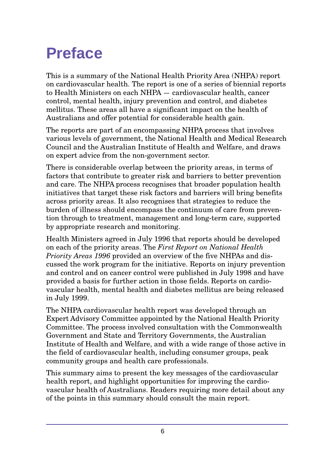# <span id="page-5-0"></span>**Preface**

This is a summary of the National Health Priority Area (NHPA) report on cardiovascular health. The report is one of a series of biennial reports to Health Ministers on each NHPA — cardiovascular health, cancer control, mental health, injury prevention and control, and diabetes mellitus. These areas all have a significant impact on the health of Australians and offer potential for considerable health gain.

The reports are part of an encompassing NHPA process that involves various levels of government, the National Health and Medical Research Council and the Australian Institute of Health and Welfare, and draws on expert advice from the non-government sector.

There is considerable overlap between the priority areas, in terms of factors that contribute to greater risk and barriers to better prevention and care. The NHPA process recognises that broader population health initiatives that target these risk factors and barriers will bring benefits across priority areas. It also recognises that strategies to reduce the burden of illness should encompass the continuum of care from prevention through to treatment, management and long-term care, supported by appropriate research and monitoring.

Health Ministers agreed in July 1996 that reports should be developed on each of the priority areas. The *First Report on National Health Priority Areas 1996* provided an overview of the five NHPAs and discussed the work program for the initiative. Reports on injury prevention and control and on cancer control were published in July 1998 and have provided a basis for further action in those fields. Reports on cardiovascular health, mental health and diabetes mellitus are being released in July 1999.

The NHPA cardiovascular health report was developed through an Expert Advisory Committee appointed by the National Health Priority Committee. The process involved consultation with the Commonwealth Government and State and Territory Governments, the Australian Institute of Health and Welfare, and with a wide range of those active in the field of cardiovascular health, including consumer groups, peak community groups and health care professionals.

This summary aims to present the key messages of the cardiovascular health report, and highlight opportunities for improving the cardiovascular health of Australians. Readers requiring more detail about any of the points in this summary should consult the main report.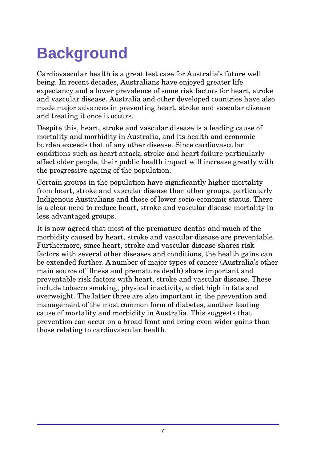# <span id="page-6-0"></span>**Background**

Cardiovascular health is a great test case for Australia's future well being. In recent decades, Australians have enjoyed greater life expectancy and a lower prevalence of some risk factors for heart, stroke and vascular disease. Australia and other developed countries have also made major advances in preventing heart, stroke and vascular disease and treating it once it occurs.

Despite this, heart, stroke and vascular disease is a leading cause of mortality and morbidity in Australia, and its health and economic burden exceeds that of any other disease. Since cardiovascular conditions such as heart attack, stroke and heart failure particularly affect older people, their public health impact will increase greatly with the progressive ageing of the population.

Certain groups in the population have significantly higher mortality from heart, stroke and vascular disease than other groups, particularly Indigenous Australians and those of lower socio-economic status. There is a clear need to reduce heart, stroke and vascular disease mortality in less advantaged groups.

It is now agreed that most of the premature deaths and much of the morbidity caused by heart, stroke and vascular disease are preventable. Furthermore, since heart, stroke and vascular disease shares risk factors with several other diseases and conditions, the health gains can be extended further. A number of major types of cancer (Australia's other main source of illness and premature death) share important and preventable risk factors with heart, stroke and vascular disease. These include tobacco smoking, physical inactivity, a diet high in fats and overweight. The latter three are also important in the prevention and management of the most common form of diabetes, another leading cause of mortality and morbidity in Australia. This suggests that prevention can occur on a broad front and bring even wider gains than those relating to cardiovascular health.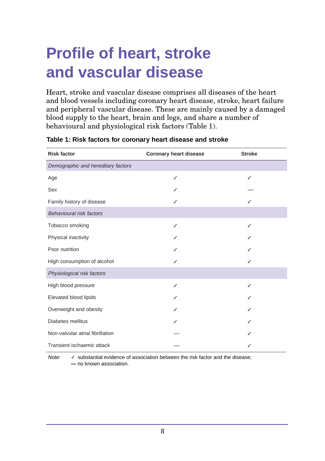# <span id="page-7-0"></span>**Profile of heart, stroke and vascular disease**

Heart, stroke and vascular disease comprises all diseases of the heart and blood vessels including coronary heart disease, stroke, heart failure and peripheral vascular disease. These are mainly caused by a damaged blood supply to the heart, brain and legs, and share a number of behavioural and physiological risk factors (Table 1).

| <b>Risk factor</b>                 | <b>Coronary heart disease</b> | <b>Stroke</b> |
|------------------------------------|-------------------------------|---------------|
| Demographic and hereditary factors |                               |               |
| Age                                | ✓                             | ✓             |
| Sex                                |                               |               |
| Family history of disease          |                               |               |
| Behavioural risk factors           |                               |               |
| Tobacco smoking                    |                               |               |
| Physical inactivity                |                               |               |
| Poor nutrition                     |                               |               |
| High consumption of alcohol        |                               |               |
| Physiological risk factors         |                               |               |
| High blood pressure                |                               |               |
| Elevated blood lipids              |                               |               |
| Overweight and obesity             |                               |               |
| Diabetes mellitus                  |                               |               |
| Non-valvular atrial fibrillation   |                               |               |
| Transient ischaemic attack         |                               |               |

#### **Table 1: Risk factors for coronary heart disease and stroke**

Note:  $\checkmark$  substantial evidence of association between the risk factor and the disease; **—** no known association.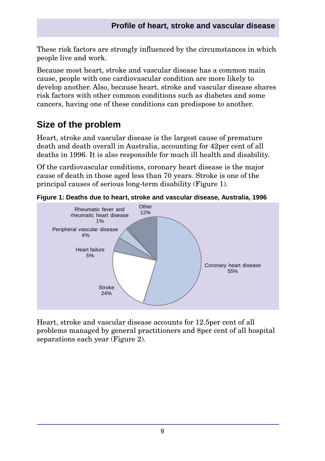These risk factors are strongly influenced by the circumstances in which people live and work.

Because most heart, stroke and vascular disease has a common main cause, people with one cardiovascular condition are more likely to develop another. Also, because heart, stroke and vascular disease shares risk factors with other common conditions such as diabetes and some cancers, having one of these conditions can predispose to another.

# **Size of the problem**

Heart, stroke and vascular disease is the largest cause of premature death and death overall in Australia, accounting for 42 per cent of all deaths in 1996. It is also responsible for much ill health and disability.

Of the cardiovascular conditions, coronary heart disease is the major cause of death in those aged less than 70 years. Stroke is one of the principal causes of serious long-term disability (Figure 1).



**Figure 1: Deaths due to heart, stroke and vascular disease, Australia, 1996**

Heart, stroke and vascular disease accounts for 12.5 per cent of all problems managed by general practitioners and 8per cent of all hospital separations each year (Figure 2).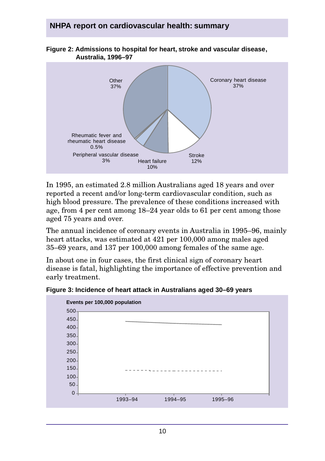### **NHPA report on cardiovascular health: summary**



**Figure 2: Admissions to hospital for heart, stroke and vascular disease, Australia, 1996–97**

In 1995, an estimated 2.8 million Australians aged 18 years and over reported a recent and/or long-term cardiovascular condition, such as high blood pressure. The prevalence of these conditions increased with age, from 4 per cent among 18–24 year olds to 61 per cent among those aged 75 years and over.

The annual incidence of coronary events in Australia in 1995–96, mainly heart attacks, was estimated at 421 per 100,000 among males aged 35–69 years, and 137 per 100,000 among females of the same age.

In about one in four cases, the first clinical sign of coronary heart disease is fatal, highlighting the importance of effective prevention and early treatment.

**Figure 3: Incidence of heart attack in Australians aged 30–69 years**

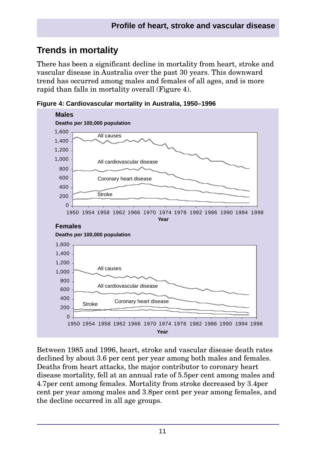# **Trends in mortality**

There has been a significant decline in mortality from heart, stroke and vascular disease in Australia over the past 30 years. This downward trend has occurred among males and females of all ages, and is more rapid than falls in mortality overall (Figure 4).



**Figure 4: Cardiovascular mortality in Australia, 1950–1996**

Between 1985 and 1996, heart, stroke and vascular disease death rates declined by about 3.6 per cent per year among both males and females. Deaths from heart attacks, the major contributor to coronary heart disease mortality, fell at an annual rate of 5.5 per cent among males and 4.7␣per cent among females. Mortality from stroke decreased by 3.4␣per cent per year among males and 3.8␣per cent per year among females, and the decline occurred in all age groups.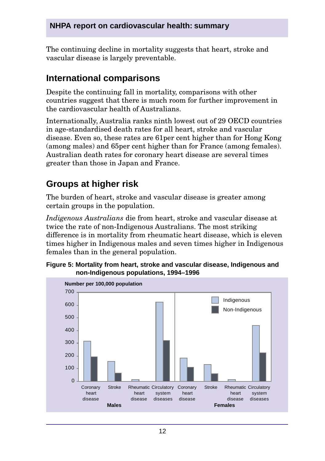### **NHPA report on cardiovascular health: summary**

The continuing decline in mortality suggests that heart, stroke and vascular disease is largely preventable.

## **International comparisons**

Despite the continuing fall in mortality, comparisons with other countries suggest that there is much room for further improvement in the cardiovascular health of Australians.

Internationally, Australia ranks ninth lowest out of 29 OECD countries in age-standardised death rates for all heart, stroke and vascular disease. Even so, these rates are 61 per cent higher than for Hong Kong (among males) and 65 per cent higher than for France (among females). Australian death rates for coronary heart disease are several times greater than those in Japan and France.

# **Groups at higher risk**

200

The burden of heart, stroke and vascular disease is greater among certain groups in the population.

*Indigenous Australians* die from heart, stroke and vascular disease at twice the rate of non-Indigenous Australians. The most striking difference is in mortality from rheumatic heart disease, which is eleven times higher in Indigenous males and seven times higher in Indigenous females than in the general population.



#### **Figure 5: Mortality from heart, stroke and vascular disease, Indigenous and non-Indigenous populations, 1994–1996**

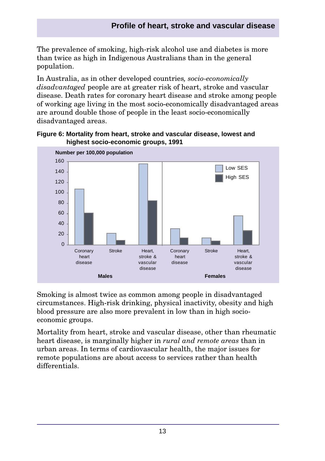### **Profile of heart, stroke and vascular disease**

The prevalence of smoking, high-risk alcohol use and diabetes is more than twice as high in Indigenous Australians than in the general population.

In Australia, as in other developed countries*, socio-economically disadvantaged* people are at greater risk of heart, stroke and vascular disease. Death rates for coronary heart disease and stroke among people of working age living in the most socio-economically disadvantaged areas are around double those of people in the least socio-economically disadvantaged areas.





Smoking is almost twice as common among people in disadvantaged circumstances. High-risk drinking, physical inactivity, obesity and high blood pressure are also more prevalent in low than in high socioeconomic groups.

Mortality from heart, stroke and vascular disease, other than rheumatic heart disease, is marginally higher in *rural and remote areas* than in urban areas. In terms of cardiovascular health, the major issues for remote populations are about access to services rather than health differentials.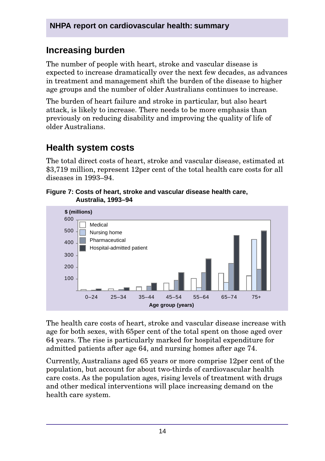# **Increasing burden**

The number of people with heart, stroke and vascular disease is expected to increase dramatically over the next few decades, as advances in treatment and management shift the burden of the disease to higher age groups and the number of older Australians continues to increase.

The burden of heart failure and stroke in particular, but also heart attack, is likely to increase. There needs to be more emphasis than previously on reducing disability and improving the quality of life of older Australians.

# **Health system costs**

The total direct costs of heart, stroke and vascular disease, estimated at \$3,719 million, represent 12 per cent of the total health care costs for all diseases in 1993–94.

**Figure 7: Costs of heart, stroke and vascular disease health care, Australia, 1993–94**



The health care costs of heart, stroke and vascular disease increase with age for both sexes, with 65 per cent of the total spent on those aged over 64 years. The rise is particularly marked for hospital expenditure for admitted patients after age 64, and nursing homes after age 74.

Currently, Australians aged 65 years or more comprise 12 per cent of the population, but account for about two-thirds of cardiovascular health care costs. As the population ages, rising levels of treatment with drugs and other medical interventions will place increasing demand on the health care system.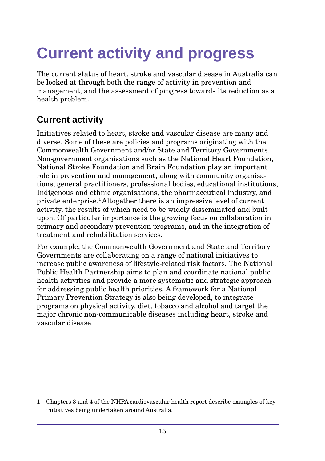# <span id="page-14-0"></span>**Current activity and progress**

The current status of heart, stroke and vascular disease in Australia can be looked at through both the range of activity in prevention and management, and the assessment of progress towards its reduction as a health problem.

# **Current activity**

Initiatives related to heart, stroke and vascular disease are many and diverse. Some of these are policies and programs originating with the Commonwealth Government and/or State and Territory Governments. Non-government organisations such as the National Heart Foundation, National Stroke Foundation and Brain Foundation play an important role in prevention and management, along with community organisations, general practitioners, professional bodies, educational institutions, Indigenous and ethnic organisations, the pharmaceutical industry, and private enterprise.1 Altogether there is an impressive level of current activity, the results of which need to be widely disseminated and built upon. Of particular importance is the growing focus on collaboration in primary and secondary prevention programs, and in the integration of treatment and rehabilitation services.

For example, the Commonwealth Government and State and Territory Governments are collaborating on a range of national initiatives to increase public awareness of lifestyle-related risk factors. The National Public Health Partnership aims to plan and coordinate national public health activities and provide a more systematic and strategic approach for addressing public health priorities. A framework for a National Primary Prevention Strategy is also being developed, to integrate programs on physical activity, diet, tobacco and alcohol and target the major chronic non-communicable diseases including heart, stroke and vascular disease.

<sup>1</sup> Chapters 3 and 4 of the NHPA cardiovascular health report describe examples of key initiatives being undertaken around Australia.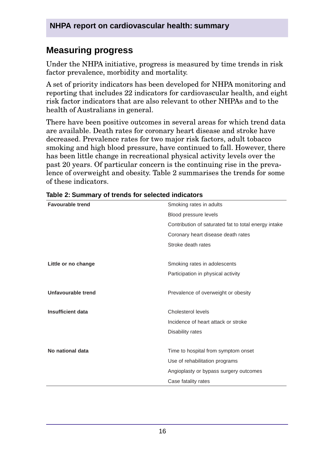## **Measuring progress**

Under the NHPA initiative, progress is measured by time trends in risk factor prevalence, morbidity and mortality.

A set of priority indicators has been developed for NHPA monitoring and reporting that includes 22 indicators for cardiovascular health, and eight risk factor indicators that are also relevant to other NHPAs and to the health of Australians in general.

There have been positive outcomes in several areas for which trend data are available. Death rates for coronary heart disease and stroke have decreased. Prevalence rates for two major risk factors, adult tobacco smoking and high blood pressure, have continued to fall. However, there has been little change in recreational physical activity levels over the past 20 years. Of particular concern is the continuing rise in the prevalence of overweight and obesity. Table 2 summarises the trends for some of these indicators.

| <b>Favourable trend</b>  | Smoking rates in adults                              |  |
|--------------------------|------------------------------------------------------|--|
|                          | Blood pressure levels                                |  |
|                          | Contribution of saturated fat to total energy intake |  |
|                          | Coronary heart disease death rates                   |  |
|                          | Stroke death rates                                   |  |
|                          |                                                      |  |
| Little or no change      | Smoking rates in adolescents                         |  |
|                          | Participation in physical activity                   |  |
| Unfavourable trend       | Prevalence of overweight or obesity                  |  |
| <b>Insufficient data</b> | Cholesterol levels                                   |  |
|                          | Incidence of heart attack or stroke                  |  |
|                          | Disability rates                                     |  |
|                          |                                                      |  |
| No national data         | Time to hospital from symptom onset                  |  |
|                          | Use of rehabilitation programs                       |  |
|                          | Angioplasty or bypass surgery outcomes               |  |
|                          | Case fatality rates                                  |  |

| Table 2: Summary of trends for selected indicators |  |
|----------------------------------------------------|--|
|----------------------------------------------------|--|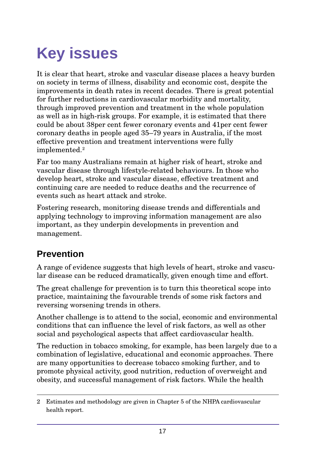# <span id="page-16-0"></span>**Key issues**

It is clear that heart, stroke and vascular disease places a heavy burden on society in terms of illness, disability and economic cost, despite the improvements in death rates in recent decades. There is great potential for further reductions in cardiovascular morbidity and mortality, through improved prevention and treatment in the whole population as well as in high-risk groups. For example, it is estimated that there could be about 38 per cent fewer coronary events and 41 per cent fewer coronary deaths in people aged 35–79 years in Australia, if the most effective prevention and treatment interventions were fully implemented.2

Far too many Australians remain at higher risk of heart, stroke and vascular disease through lifestyle-related behaviours. In those who develop heart, stroke and vascular disease, effective treatment and continuing care are needed to reduce deaths and the recurrence of events such as heart attack and stroke.

Fostering research, monitoring disease trends and differentials and applying technology to improving information management are also important, as they underpin developments in prevention and management.

# **Prevention**

A range of evidence suggests that high levels of heart, stroke and vascular disease can be reduced dramatically, given enough time and effort.

The great challenge for prevention is to turn this theoretical scope into practice, maintaining the favourable trends of some risk factors and reversing worsening trends in others.

Another challenge is to attend to the social, economic and environmental conditions that can influence the level of risk factors, as well as other social and psychological aspects that affect cardiovascular health.

The reduction in tobacco smoking, for example, has been largely due to a combination of legislative, educational and economic approaches. There are many opportunities to decrease tobacco smoking further, and to promote physical activity, good nutrition, reduction of overweight and obesity, and successful management of risk factors. While the health

<sup>2</sup> Estimates and methodology are given in Chapter 5 of the NHPA cardiovascular health report.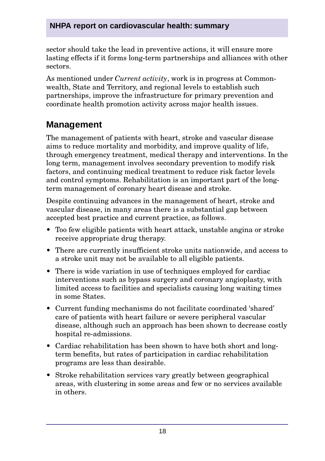### **NHPA report on cardiovascular health: summary**

sector should take the lead in preventive actions, it will ensure more lasting effects if it forms long-term partnerships and alliances with other sectors.

As mentioned under *Current activity*, work is in progress at Commonwealth, State and Territory, and regional levels to establish such partnerships, improve the infrastructure for primary prevention and coordinate health promotion activity across major health issues.

## **Management**

The management of patients with heart, stroke and vascular disease aims to reduce mortality and morbidity, and improve quality of life, through emergency treatment, medical therapy and interventions. In the long term, management involves secondary prevention to modify risk factors, and continuing medical treatment to reduce risk factor levels and control symptoms. Rehabilitation is an important part of the longterm management of coronary heart disease and stroke.

Despite continuing advances in the management of heart, stroke and vascular disease, in many areas there is a substantial gap between accepted best practice and current practice, as follows.

- Too few eligible patients with heart attack, unstable angina or stroke receive appropriate drug therapy.
- There are currently insufficient stroke units nationwide, and access to a stroke unit may not be available to all eligible patients.
- There is wide variation in use of techniques employed for cardiac interventions such as bypass surgery and coronary angioplasty, with limited access to facilities and specialists causing long waiting times in some States.
- Current funding mechanisms do not facilitate coordinated 'shared' care of patients with heart failure or severe peripheral vascular disease, although such an approach has been shown to decrease costly hospital re-admissions.
- Cardiac rehabilitation has been shown to have both short and longterm benefits, but rates of participation in cardiac rehabilitation programs are less than desirable.
- Stroke rehabilitation services vary greatly between geographical areas, with clustering in some areas and few or no services available in others.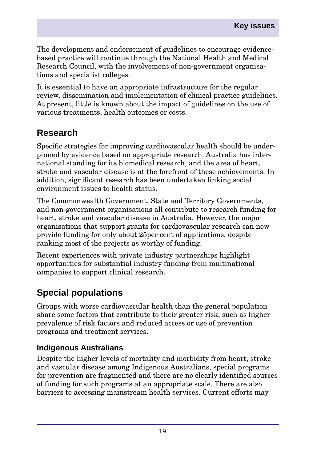The development and endorsement of guidelines to encourage evidencebased practice will continue through the National Health and Medical Research Council, with the involvement of non-government organisations and specialist colleges.

It is essential to have an appropriate infrastructure for the regular review, dissemination and implementation of clinical practice guidelines. At present, little is known about the impact of guidelines on the use of various treatments, health outcomes or costs.

# **Research**

Specific strategies for improving cardiovascular health should be underpinned by evidence based on appropriate research. Australia has international standing for its biomedical research, and the area of heart, stroke and vascular disease is at the forefront of these achievements. In addition, significant research has been undertaken linking social environment issues to health status.

The Commonwealth Government, State and Territory Governments, and non-government organisations all contribute to research funding for heart, stroke and vascular disease in Australia. However, the major organisations that support grants for cardiovascular research can now provide funding for only about 25␣per cent of applications, despite ranking most of the projects as worthy of funding.

Recent experiences with private industry partnerships highlight opportunities for substantial industry funding from multinational companies to support clinical research.

# **Special populations**

Groups with worse cardiovascular health than the general population share some factors that contribute to their greater risk, such as higher prevalence of risk factors and reduced access or use of prevention programs and treatment services.

### **Indigenous Australians**

Despite the higher levels of mortality and morbidity from heart, stroke and vascular disease among Indigenous Australians, special programs for prevention are fragmented and there are no clearly identified sources of funding for such programs at an appropriate scale. There are also barriers to accessing mainstream health services. Current efforts may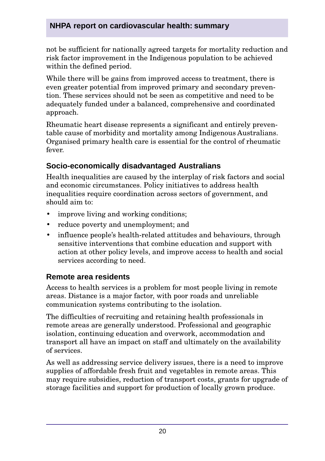### **NHPA report on cardiovascular health: summary**

not be sufficient for nationally agreed targets for mortality reduction and risk factor improvement in the Indigenous population to be achieved within the defined period.

While there will be gains from improved access to treatment, there is even greater potential from improved primary and secondary prevention. These services should not be seen as competitive and need to be adequately funded under a balanced, comprehensive and coordinated approach.

Rheumatic heart disease represents a significant and entirely preventable cause of morbidity and mortality among Indigenous Australians. Organised primary health care is essential for the control of rheumatic fever.

### **Socio-economically disadvantaged Australians**

Health inequalities are caused by the interplay of risk factors and social and economic circumstances. Policy initiatives to address health inequalities require coordination across sectors of government, and should aim to:

- improve living and working conditions;
- reduce poverty and unemployment; and
- influence people's health-related attitudes and behaviours, through sensitive interventions that combine education and support with action at other policy levels, and improve access to health and social services according to need.

### **Remote area residents**

Access to health services is a problem for most people living in remote areas. Distance is a major factor, with poor roads and unreliable communication systems contributing to the isolation.

The difficulties of recruiting and retaining health professionals in remote areas are generally understood. Professional and geographic isolation, continuing education and overwork, accommodation and transport all have an impact on staff and ultimately on the availability of services.

As well as addressing service delivery issues, there is a need to improve supplies of affordable fresh fruit and vegetables in remote areas. This may require subsidies, reduction of transport costs, grants for upgrade of storage facilities and support for production of locally grown produce.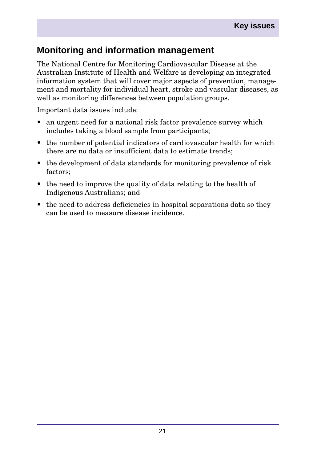## **Monitoring and information management**

The National Centre for Monitoring Cardiovascular Disease at the Australian Institute of Health and Welfare is developing an integrated information system that will cover major aspects of prevention, management and mortality for individual heart, stroke and vascular diseases, as well as monitoring differences between population groups.

Important data issues include:

- an urgent need for a national risk factor prevalence survey which includes taking a blood sample from participants;
- the number of potential indicators of cardiovascular health for which there are no data or insufficient data to estimate trends;
- the development of data standards for monitoring prevalence of risk factors;
- the need to improve the quality of data relating to the health of Indigenous Australians; and
- the need to address deficiencies in hospital separations data so they can be used to measure disease incidence.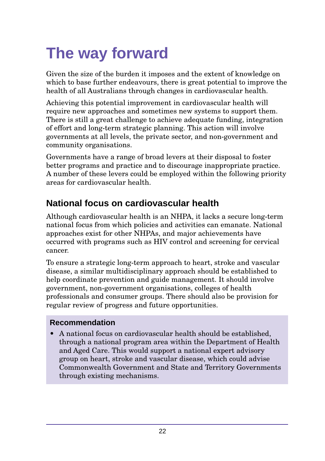# <span id="page-21-0"></span>**The way forward**

Given the size of the burden it imposes and the extent of knowledge on which to base further endeavours, there is great potential to improve the health of all Australians through changes in cardiovascular health.

Achieving this potential improvement in cardiovascular health will require new approaches and sometimes new systems to support them. There is still a great challenge to achieve adequate funding, integration of effort and long-term strategic planning. This action will involve governments at all levels, the private sector, and non-government and community organisations.

Governments have a range of broad levers at their disposal to foster better programs and practice and to discourage inappropriate practice. A number of these levers could be employed within the following priority areas for cardiovascular health.

# **National focus on cardiovascular health**

Although cardiovascular health is an NHPA, it lacks a secure long-term national focus from which policies and activities can emanate. National approaches exist for other NHPAs, and major achievements have occurred with programs such as HIV control and screening for cervical cancer.

To ensure a strategic long-term approach to heart, stroke and vascular disease, a similar multidisciplinary approach should be established to help coordinate prevention and guide management. It should involve government, non-government organisations, colleges of health professionals and consumer groups. There should also be provision for regular review of progress and future opportunities.

### **Recommendation**

• A national focus on cardiovascular health should be established, through a national program area within the Department of Health and Aged Care. This would support a national expert advisory group on heart, stroke and vascular disease, which could advise Commonwealth Government and State and Territory Governments through existing mechanisms.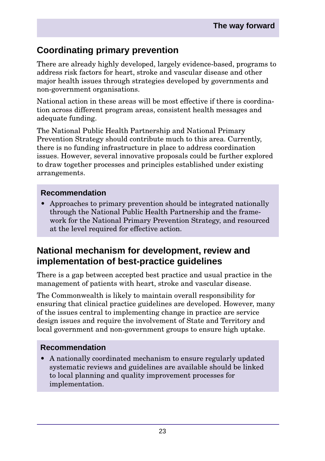# **Coordinating primary prevention**

There are already highly developed, largely evidence-based, programs to address risk factors for heart, stroke and vascular disease and other major health issues through strategies developed by governments and non-government organisations.

National action in these areas will be most effective if there is coordination across different program areas, consistent health messages and adequate funding.

The National Public Health Partnership and National Primary Prevention Strategy should contribute much to this area. Currently, there is no funding infrastructure in place to address coordination issues. However, several innovative proposals could be further explored to draw together processes and principles established under existing arrangements.

### **Recommendation**

• Approaches to primary prevention should be integrated nationally through the National Public Health Partnership and the framework for the National Primary Prevention Strategy, and resourced at the level required for effective action.

## **National mechanism for development, review and implementation of best-practice guidelines**

There is a gap between accepted best practice and usual practice in the management of patients with heart, stroke and vascular disease.

The Commonwealth is likely to maintain overall responsibility for ensuring that clinical practice guidelines are developed. However, many of the issues central to implementing change in practice are service design issues and require the involvement of State and Territory and local government and non-government groups to ensure high uptake.

### **Recommendation**

• A nationally coordinated mechanism to ensure regularly updated systematic reviews and guidelines are available should be linked to local planning and quality improvement processes for implementation.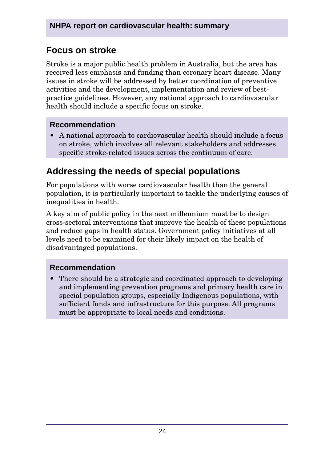# **Focus on stroke**

Stroke is a major public health problem in Australia, but the area has received less emphasis and funding than coronary heart disease. Many issues in stroke will be addressed by better coordination of preventive activities and the development, implementation and review of bestpractice guidelines. However, any national approach to cardiovascular health should include a specific focus on stroke.

#### **Recommendation**

• A national approach to cardiovascular health should include a focus on stroke, which involves all relevant stakeholders and addresses specific stroke-related issues across the continuum of care.

# **Addressing the needs of special populations**

For populations with worse cardiovascular health than the general population, it is particularly important to tackle the underlying causes of inequalities in health.

A key aim of public policy in the next millennium must be to design cross-sectoral interventions that improve the health of these populations and reduce gaps in health status. Government policy initiatives at all levels need to be examined for their likely impact on the health of disadvantaged populations.

### **Recommendation**

• There should be a strategic and coordinated approach to developing and implementing prevention programs and primary health care in special population groups, especially Indigenous populations, with sufficient funds and infrastructure for this purpose. All programs must be appropriate to local needs and conditions.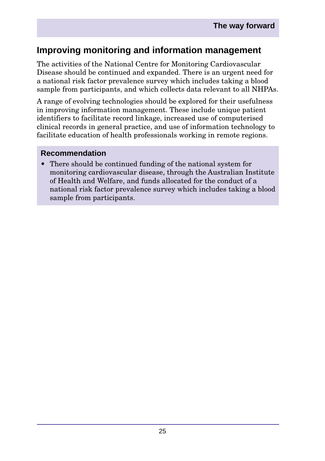# **Improving monitoring and information management**

The activities of the National Centre for Monitoring Cardiovascular Disease should be continued and expanded. There is an urgent need for a national risk factor prevalence survey which includes taking a blood sample from participants, and which collects data relevant to all NHPAs.

A range of evolving technologies should be explored for their usefulness in improving information management. These include unique patient identifiers to facilitate record linkage, increased use of computerised clinical records in general practice, and use of information technology to facilitate education of health professionals working in remote regions.

#### **Recommendation**

• There should be continued funding of the national system for monitoring cardiovascular disease, through the Australian Institute of Health and Welfare, and funds allocated for the conduct of a national risk factor prevalence survey which includes taking a blood sample from participants.